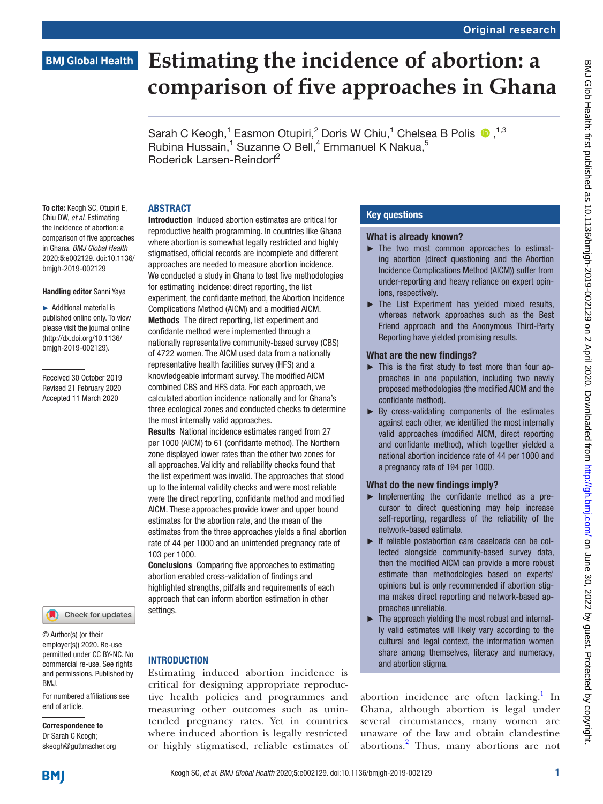## **BMJ Global Health**

# **Estimating the incidence of abortion: a comparison of five approaches in Ghana**

Sarah C Keogh,<sup>1</sup> Easmon Otupiri,<sup>2</sup> Doris W Chiu,<sup>1</sup> Chelsea B Polis <sup>1,3</sup> Rubina Hussain,<sup>1</sup> Suzanne O Bell,<sup>4</sup> Emmanuel K Nakua,<sup>5</sup> Roderick Larsen-Reindorf<sup>2</sup>

#### **ARSTRACT**

To cite: Keogh SC, Otupiri E, Chiu DW, *et al*. Estimating the incidence of abortion: a comparison of five approaches in Ghana. *BMJ Global Health* 2020;5:e002129. doi:10.1136/ bmjgh-2019-002129

#### Handling editor Sanni Yaya

► Additional material is published online only. To view please visit the journal online ([http://dx.doi.org/10.1136/](http://dx.doi.org/10.1136/bmjgh-2019-002129) [bmjgh-2019-002129\)](http://dx.doi.org/10.1136/bmjgh-2019-002129).

Received 30 October 2019 Revised 21 February 2020 Accepted 11 March 2020



© Author(s) (or their employer(s)) 2020. Re-use permitted under CC BY-NC. No commercial re-use. See rights and permissions. Published by BMJ.

For numbered affiliations see end of article.

Correspondence to Dr Sarah C Keogh; skeogh@guttmacher.org

Introduction Induced abortion estimates are critical for reproductive health programming. In countries like Ghana where abortion is somewhat legally restricted and highly stigmatised, official records are incomplete and different approaches are needed to measure abortion incidence. We conducted a study in Ghana to test five methodologies for estimating incidence: direct reporting, the list experiment, the confidante method, the Abortion Incidence Complications Method (AICM) and a modified AICM. Methods The direct reporting, list experiment and confidante method were implemented through a nationally representative community-based survey (CBS) of 4722 women. The AICM used data from a nationally representative health facilities survey (HFS) and a knowledgeable informant survey. The modified AICM combined CBS and HFS data. For each approach, we calculated abortion incidence nationally and for Ghana's three ecological zones and conducted checks to determine the most internally valid approaches.

Results National incidence estimates ranged from 27 per 1000 (AICM) to 61 (confidante method). The Northern zone displayed lower rates than the other two zones for all approaches. Validity and reliability checks found that the list experiment was invalid. The approaches that stood up to the internal validity checks and were most reliable were the direct reporting, confidante method and modified AICM. These approaches provide lower and upper bound estimates for the abortion rate, and the mean of the estimates from the three approaches yields a final abortion rate of 44 per 1000 and an unintended pregnancy rate of 103 per 1000.

Conclusions Comparing five approaches to estimating abortion enabled cross-validation of findings and highlighted strengths, pitfalls and requirements of each approach that can inform abortion estimation in other settings.

## **INTRODUCTION**

Estimating induced abortion incidence is critical for designing appropriate reproductive health policies and programmes and measuring other outcomes such as unintended pregnancy rates. Yet in countries where induced abortion is legally restricted or highly stigmatised, reliable estimates of

## Key questions

#### What is already known?

- ► The two most common approaches to estimating abortion (direct questioning and the Abortion Incidence Complications Method (AICM)) suffer from under-reporting and heavy reliance on expert opinions, respectively.
- ► The List Experiment has yielded mixed results, whereas network approaches such as the Best Friend approach and the Anonymous Third-Party Reporting have yielded promising results.

#### What are the new findings?

- ► This is the first study to test more than four approaches in one population, including two newly proposed methodologies (the modified AICM and the confidante method).
- ► By cross-validating components of the estimates against each other, we identified the most internally valid approaches (modified AICM, direct reporting and confidante method), which together yielded a national abortion incidence rate of 44 per 1000 and a pregnancy rate of 194 per 1000.

#### What do the new findings imply?

- ► Implementing the confidante method as a precursor to direct questioning may help increase self-reporting, regardless of the reliability of the network-based estimate.
- ► If reliable postabortion care caseloads can be collected alongside community-based survey data, then the modified AICM can provide a more robust estimate than methodologies based on experts' opinions but is only recommended if abortion stigma makes direct reporting and network-based approaches unreliable.
- ► The approach yielding the most robust and internally valid estimates will likely vary according to the cultural and legal context, the information women share among themselves, literacy and numeracy, and abortion stigma.

abortion incidence are often lacking.<sup>[1](#page-8-0)</sup> In Ghana, although abortion is legal under several circumstances, many women are unaware of the law and obtain clandestine abortions.[2](#page-8-1) Thus, many abortions are not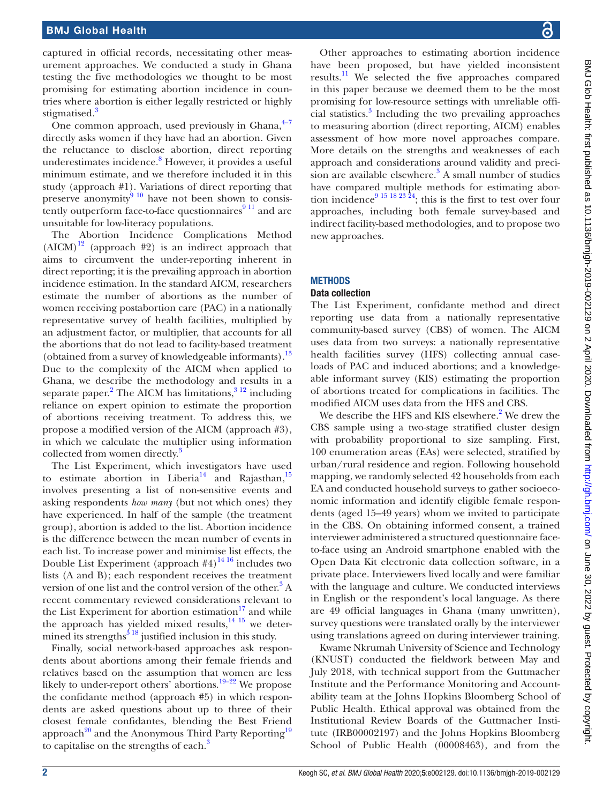captured in official records, necessitating other measurement approaches. We conducted a study in Ghana testing the five methodologies we thought to be most promising for estimating abortion incidence in countries where abortion is either legally restricted or highly stigmatised.<sup>[3](#page-8-2)</sup>

One common approach, used previously in Ghana, $4\frac{4}{7}$ directly asks women if they have had an abortion. Given the reluctance to disclose abortion, direct reporting underestimates incidence.<sup>8</sup> However, it provides a useful minimum estimate, and we therefore included it in this study (approach #1). Variations of direct reporting that preserve anonymity $9^{10}$  have not been shown to consistently outperform face-to-face questionnaires $911$  and are unsuitable for low-literacy populations.

The Abortion Incidence Complications Method  $(AICM)^{12}$  $(AICM)^{12}$  $(AICM)^{12}$  (approach #2) is an indirect approach that aims to circumvent the under-reporting inherent in direct reporting; it is the prevailing approach in abortion incidence estimation. In the standard AICM, researchers estimate the number of abortions as the number of women receiving postabortion care (PAC) in a nationally representative survey of health facilities, multiplied by an adjustment factor, or multiplier, that accounts for all the abortions that do not lead to facility-based treatment (obtained from a survey of knowledgeable informants).<sup>[13](#page-8-7)</sup> Due to the complexity of the AICM when applied to Ghana, we describe the methodology and results in a separate paper.<sup>2</sup> The AICM has limitations,<sup>312</sup> including reliance on expert opinion to estimate the proportion of abortions receiving treatment. To address this, we propose a modified version of the AICM (approach #3), in which we calculate the multiplier using information collected from women directly.<sup>[3](#page-8-2)</sup>

The List Experiment, which investigators have used to estimate abortion in Liberia<sup>14</sup> and Rajasthan,<sup>15</sup> involves presenting a list of non-sensitive events and asking respondents *how many* (but not which ones) they have experienced. In half of the sample (the treatment group), abortion is added to the list. Abortion incidence is the difference between the mean number of events in each list. To increase power and minimise list effects, the Double List Experiment (approach  $#4$ )<sup>14 16</sup> includes two lists (A and B); each respondent receives the treatment version of one list and the control version of the other.<sup>[3](#page-8-2)</sup> A recent commentary reviewed considerations relevant to the List Experiment for abortion estimation $17$  and while the approach has yielded mixed results, $^{14}$  15 we determined its strengths $3^{18}$  justified inclusion in this study.

Finally, social network-based approaches ask respondents about abortions among their female friends and relatives based on the assumption that women are less likely to under-report others' abortions.<sup>[19–22](#page-8-11)</sup> We propose the confidante method (approach #5) in which respondents are asked questions about up to three of their closest female confidantes, blending the Best Friend approach<sup>20</sup> and the Anonymous Third Party Reporting<sup>19</sup> to capitalise on the strengths of each.<sup>[3](#page-8-2)</sup>

Other approaches to estimating abortion incidence have been proposed, but have yielded inconsistent results[.11](#page-8-13) We selected the five approaches compared in this paper because we deemed them to be the most promising for low-resource settings with unreliable offi-cial statistics.<sup>[3](#page-8-2)</sup> Including the two prevailing approaches to measuring abortion (direct reporting, AICM) enables assessment of how more novel approaches compare. More details on the strengths and weaknesses of each approach and considerations around validity and precision are available elsewhere. $3$  A small number of studies have compared multiple methods for estimating abortion incidence<sup>9 15 18 23  $\frac{24}{7}$ ; this is the first to test over four</sup> approaches, including both female survey-based and indirect facility-based methodologies, and to propose two new approaches.

## **METHODS**

#### Data collection

The List Experiment, confidante method and direct reporting use data from a nationally representative community-based survey (CBS) of women. The AICM uses data from two surveys: a nationally representative health facilities survey (HFS) collecting annual caseloads of PAC and induced abortions; and a knowledgeable informant survey (KIS) estimating the proportion of abortions treated for complications in facilities. The modified AICM uses data from the HFS and CBS.

We describe the HFS and KIS elsewhere.<sup>[2](#page-8-1)</sup> We drew the CBS sample using a two-stage stratified cluster design with probability proportional to size sampling. First, 100 enumeration areas (EAs) were selected, stratified by urban/rural residence and region. Following household mapping, we randomly selected 42 households from each EA and conducted household surveys to gather socioeconomic information and identify eligible female respondents (aged 15–49 years) whom we invited to participate in the CBS. On obtaining informed consent, a trained interviewer administered a structured questionnaire faceto-face using an Android smartphone enabled with the Open Data Kit electronic data collection software, in a private place. Interviewers lived locally and were familiar with the language and culture. We conducted interviews in English or the respondent's local language. As there are 49 official languages in Ghana (many unwritten), survey questions were translated orally by the interviewer using translations agreed on during interviewer training.

Kwame Nkrumah University of Science and Technology (KNUST) conducted the fieldwork between May and July 2018, with technical support from the Guttmacher Institute and the Performance Monitoring and Accountability team at the Johns Hopkins Bloomberg School of Public Health. Ethical approval was obtained from the Institutional Review Boards of the Guttmacher Institute (IRB00002197) and the Johns Hopkins Bloomberg School of Public Health (00008463), and from the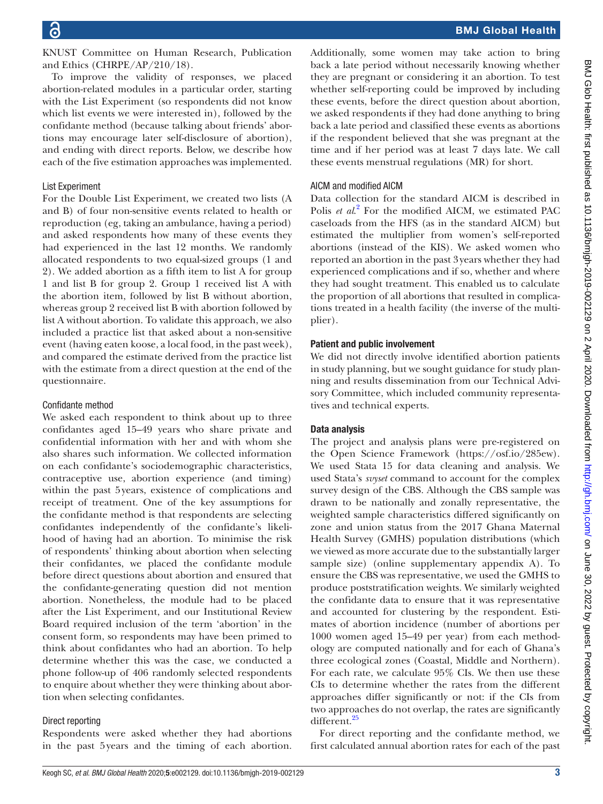KNUST Committee on Human Research, Publication and Ethics (CHRPE/AP/210/18).

To improve the validity of responses, we placed abortion-related modules in a particular order, starting with the List Experiment (so respondents did not know which list events we were interested in), followed by the confidante method (because talking about friends' abortions may encourage later self-disclosure of abortion), and ending with direct reports. Below, we describe how each of the five estimation approaches was implemented.

## List Experiment

For the Double List Experiment, we created two lists (A and B) of four non-sensitive events related to health or reproduction (eg, taking an ambulance, having a period) and asked respondents how many of these events they had experienced in the last 12 months. We randomly allocated respondents to two equal-sized groups (1 and 2). We added abortion as a fifth item to list A for group 1 and list B for group 2. Group 1 received list A with the abortion item, followed by list B without abortion, whereas group 2 received list B with abortion followed by list A without abortion. To validate this approach, we also included a practice list that asked about a non-sensitive event (having eaten koose, a local food, in the past week), and compared the estimate derived from the practice list with the estimate from a direct question at the end of the questionnaire.

## Confidante method

We asked each respondent to think about up to three confidantes aged 15–49 years who share private and confidential information with her and with whom she also shares such information. We collected information on each confidante's sociodemographic characteristics, contraceptive use, abortion experience (and timing) within the past 5years, existence of complications and receipt of treatment. One of the key assumptions for the confidante method is that respondents are selecting confidantes independently of the confidante's likelihood of having had an abortion. To minimise the risk of respondents' thinking about abortion when selecting their confidantes, we placed the confidante module before direct questions about abortion and ensured that the confidante-generating question did not mention abortion. Nonetheless, the module had to be placed after the List Experiment, and our Institutional Review Board required inclusion of the term 'abortion' in the consent form, so respondents may have been primed to think about confidantes who had an abortion. To help determine whether this was the case, we conducted a phone follow-up of 406 randomly selected respondents to enquire about whether they were thinking about abortion when selecting confidantes.

## Direct reporting

Respondents were asked whether they had abortions in the past 5years and the timing of each abortion.

Additionally, some women may take action to bring back a late period without necessarily knowing whether they are pregnant or considering it an abortion. To test whether self-reporting could be improved by including these events, before the direct question about abortion, we asked respondents if they had done anything to bring back a late period and classified these events as abortions if the respondent believed that she was pregnant at the time and if her period was at least 7 days late. We call these events menstrual regulations (MR) for short.

## AICM and modified AICM

Data collection for the standard AICM is described in Polis *et al.*<sup>[2](#page-8-1)</sup> For the modified AICM, we estimated PAC caseloads from the HFS (as in the standard AICM) but estimated the multiplier from women's self-reported abortions (instead of the KIS). We asked women who reported an abortion in the past 3years whether they had experienced complications and if so, whether and where they had sought treatment. This enabled us to calculate the proportion of all abortions that resulted in complications treated in a health facility (the inverse of the multiplier).

## Patient and public involvement

We did not directly involve identified abortion patients in study planning, but we sought guidance for study planning and results dissemination from our Technical Advisory Committee, which included community representatives and technical experts.

## Data analysis

The project and analysis plans were pre-registered on the Open Science Framework [\(https://osf.io/285ew](https://osf.io/285ew)). We used Stata 15 for data cleaning and analysis. We used Stata's *svyset* command to account for the complex survey design of the CBS. Although the CBS sample was drawn to be nationally and zonally representative, the weighted sample characteristics differed significantly on zone and union status from the 2017 Ghana Maternal Health Survey (GMHS) population distributions (which we viewed as more accurate due to the substantially larger sample size) ([online supplementary appendix A\)](https://dx.doi.org/10.1136/bmjgh-2019-002129). To ensure the CBS was representative, we used the GMHS to produce poststratification weights. We similarly weighted the confidante data to ensure that it was representative and accounted for clustering by the respondent. Estimates of abortion incidence (number of abortions per 1000 women aged 15–49 per year) from each methodology are computed nationally and for each of Ghana's three ecological zones (Coastal, Middle and Northern). For each rate, we calculate 95% CIs. We then use these CIs to determine whether the rates from the different approaches differ significantly or not: if the CIs from two approaches do not overlap, the rates are significantly different.[25](#page-8-14)

For direct reporting and the confidante method, we first calculated annual abortion rates for each of the past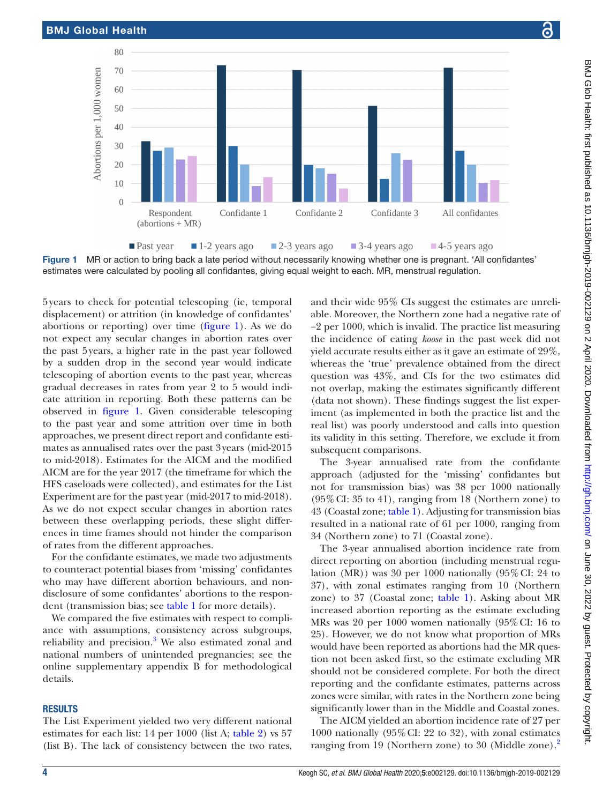BMJ Glob Health: first published as 10.1136/bmjgh-2019-002129 on 2 April 2020. Downloaded from <http://gh.bmj.com/> on June 30, 2022 by guest. Protected by copyright.

BMJ Glob Health: first published as 10.1136/bmigh-2019-002129 on 2 April 2020. Downloaded from http://gh.bmj.com/ on June 30, 2022 by guest. Protected by copyright



80





<span id="page-3-0"></span>Figure 1 MR or action to bring back a late period without necessarily knowing whether one is pregnant. 'All confidantes' estimates were calculated by pooling all confidantes, giving equal weight to each. MR, menstrual regulation.

5years to check for potential telescoping (ie, temporal displacement) or attrition (in knowledge of confidantes' abortions or reporting) over time ([figure](#page-3-0) 1). As we do not expect any secular changes in abortion rates over the past 5years, a higher rate in the past year followed by a sudden drop in the second year would indicate telescoping of abortion events to the past year, whereas gradual decreases in rates from year 2 to 5 would indicate attrition in reporting. Both these patterns can be observed in [figure](#page-3-0) 1. Given considerable telescoping to the past year and some attrition over time in both approaches, we present direct report and confidante estimates as annualised rates over the past 3years (mid-2015 to mid-2018). Estimates for the AICM and the modified AICM are for the year 2017 (the timeframe for which the HFS caseloads were collected), and estimates for the List Experiment are for the past year (mid-2017 to mid-2018). As we do not expect secular changes in abortion rates between these overlapping periods, these slight differences in time frames should not hinder the comparison of rates from the different approaches.

For the confidante estimates, we made two adjustments to counteract potential biases from 'missing' confidantes who may have different abortion behaviours, and nondisclosure of some confidantes' abortions to the respondent (transmission bias; see [table](#page-4-0) 1 for more details).

We compared the five estimates with respect to compliance with assumptions, consistency across subgroups, reliability and precision.<sup>[3](#page-8-2)</sup> We also estimated zonal and national numbers of unintended pregnancies; see the [online supplementary appendix B](https://dx.doi.org/10.1136/bmjgh-2019-002129) for methodological details.

#### **RESULTS**

The List Experiment yielded two very different national estimates for each list: 14 per 1000 (list A; [table](#page-4-1) 2) vs 57 (list B). The lack of consistency between the two rates,

and their wide 95% CIs suggest the estimates are unreliable. Moreover, the Northern zone had a negative rate of −2 per 1000, which is invalid. The practice list measuring the incidence of eating *koose* in the past week did not yield accurate results either as it gave an estimate of 29%, whereas the 'true' prevalence obtained from the direct question was 43%, and CIs for the two estimates did not overlap, making the estimates significantly different (data not shown). These findings suggest the list experiment (as implemented in both the practice list and the real list) was poorly understood and calls into question its validity in this setting. Therefore, we exclude it from subsequent comparisons.

The 3-year annualised rate from the confidante approach (adjusted for the 'missing' confidantes but not for transmission bias) was 38 per 1000 nationally (95%CI: 35 to 41), ranging from 18 (Northern zone) to 43 (Coastal zone; [table](#page-4-0) 1). Adjusting for transmission bias resulted in a national rate of 61 per 1000, ranging from 34 (Northern zone) to 71 (Coastal zone).

The 3-year annualised abortion incidence rate from direct reporting on abortion (including menstrual regulation (MR)) was 30 per 1000 nationally (95%CI: 24 to 37), with zonal estimates ranging from 10 (Northern zone) to 37 (Coastal zone; [table](#page-4-0) 1). Asking about MR increased abortion reporting as the estimate excluding MRs was 20 per 1000 women nationally (95%CI: 16 to 25). However, we do not know what proportion of MRs would have been reported as abortions had the MR question not been asked first, so the estimate excluding MR should not be considered complete. For both the direct reporting and the confidante estimates, patterns across zones were similar, with rates in the Northern zone being significantly lower than in the Middle and Coastal zones.

The AICM yielded an abortion incidence rate of 27 per 1000 nationally (95%CI: 22 to 32), with zonal estimates ranging from 19 (Northern zone) to 30 (Middle zone).<sup>2</sup>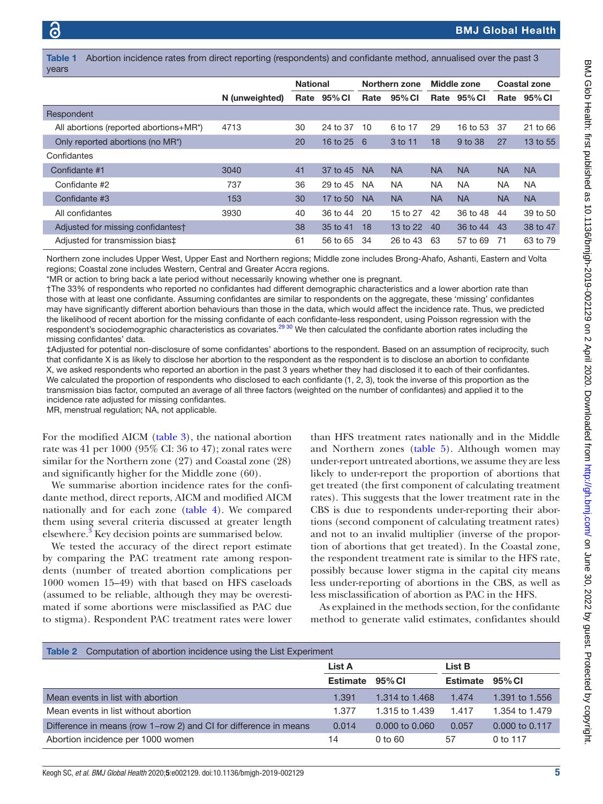years

<span id="page-4-0"></span>Table 1 Abortion incidence rates from direct reporting (respondents) and confidante method, annualised over the past 3

|                                        |                | <b>National</b> |          |           | Northern zone |           | Middle zone |           | <b>Coastal zone</b> |
|----------------------------------------|----------------|-----------------|----------|-----------|---------------|-----------|-------------|-----------|---------------------|
|                                        | N (unweighted) | Rate            | 95% CI   | Rate      | 95% CI        |           | Rate 95% CI |           | Rate 95% CI         |
| Respondent                             |                |                 |          |           |               |           |             |           |                     |
| All abortions (reported abortions+MR*) | 4713           | 30              | 24 to 37 | 10        | 6 to 17       | 29        | 16 to 53    | -37       | 21 to 66            |
| Only reported abortions (no MR*)       |                | 20              | 16 to 25 | -6        | 3 to 11       | 18        | 9 to 38     | 27        | 13 to 55            |
| Confidantes                            |                |                 |          |           |               |           |             |           |                     |
| Confidante #1                          | 3040           | 41              | 37 to 45 | <b>NA</b> | <b>NA</b>     | <b>NA</b> | <b>NA</b>   | <b>NA</b> | <b>NA</b>           |
| Confidante #2                          | 737            | 36              | 29 to 45 | <b>NA</b> | <b>NA</b>     | <b>NA</b> | <b>NA</b>   | <b>NA</b> | <b>NA</b>           |
| Confidante #3                          | 153            | 30              | 17 to 50 | <b>NA</b> | <b>NA</b>     | <b>NA</b> | <b>NA</b>   | <b>NA</b> | <b>NA</b>           |
| All confidantes                        | 3930           | 40              | 36 to 44 | -20       | 15 to 27      | 42        | 36 to 48    | 44        | 39 to 50            |
| Adjusted for missing confidantest      |                | 38              | 35 to 41 | 18        | 13 to 22      | 40        | 36 to 44    | 43        | 38 to 47            |
| Adjusted for transmission biast        |                | 61              | 56 to 65 | 34        | 26 to 43      | 63        | 57 to 69    | -71       | 63 to 79            |

Northern zone includes Upper West, Upper East and Northern regions; Middle zone includes Brong-Ahafo, Ashanti, Eastern and Volta regions; Coastal zone includes Western, Central and Greater Accra regions.

\*MR or action to bring back a late period without necessarily knowing whether one is pregnant.

†The 33% of respondents who reported no confidantes had different demographic characteristics and a lower abortion rate than those with at least one confidante. Assuming confidantes are similar to respondents on the aggregate, these 'missing' confidantes may have significantly different abortion behaviours than those in the data, which would affect the incidence rate. Thus, we predicted the likelihood of recent abortion for the missing confidante of each confidante-less respondent, using Poisson regression with the respondent's sociodemographic characteristics as covariates.<sup>29 30</sup> We then calculated the confidante abortion rates including the missing confidantes' data.

‡Adjusted for potential non-disclosure of some confidantes' abortions to the respondent. Based on an assumption of reciprocity, such that confidante X is as likely to disclose her abortion to the respondent as the respondent is to disclose an abortion to confidante X, we asked respondents who reported an abortion in the past 3 years whether they had disclosed it to each of their confidantes. We calculated the proportion of respondents who disclosed to each confidante (1, 2, 3), took the inverse of this proportion as the transmission bias factor, computed an average of all three factors (weighted on the number of confidantes) and applied it to the incidence rate adjusted for missing confidantes.

MR, menstrual regulation; NA, not applicable.

For the modified AICM [\(table](#page-5-0) 3), the national abortion rate was 41 per 1000 (95% CI: 36 to 47); zonal rates were similar for the Northern zone (27) and Coastal zone (28) and significantly higher for the Middle zone (60).

We summarise abortion incidence rates for the confidante method, direct reports, AICM and modified AICM nationally and for each zone [\(table](#page-6-0) 4). We compared them using several criteria discussed at greater length elsewhere.<sup>3</sup> Key decision points are summarised below.

We tested the accuracy of the direct report estimate by comparing the PAC treatment rate among respondents (number of treated abortion complications per 1000 women 15–49) with that based on HFS caseloads (assumed to be reliable, although they may be overestimated if some abortions were misclassified as PAC due to stigma). Respondent PAC treatment rates were lower

than HFS treatment rates nationally and in the Middle and Northern zones ([table](#page-6-1) 5). Although women may under-report untreated abortions, we assume they are less likely to under-report the proportion of abortions that get treated (the first component of calculating treatment rates). This suggests that the lower treatment rate in the CBS is due to respondents under-reporting their abortions (second component of calculating treatment rates) and not to an invalid multiplier (inverse of the proportion of abortions that get treated). In the Coastal zone, the respondent treatment rate is similar to the HFS rate, possibly because lower stigma in the capital city means less under-reporting of abortions in the CBS, as well as less misclassification of abortion as PAC in the HFS.

As explained in the methods section, for the confidante method to generate valid estimates, confidantes should

<span id="page-4-1"></span>

| Computation of abortion incidence using the List Experiment<br>Table 2 |                 |                    |                 |                |
|------------------------------------------------------------------------|-----------------|--------------------|-----------------|----------------|
|                                                                        | List A          |                    | List B          |                |
|                                                                        | <b>Estimate</b> | 95% CI             | <b>Estimate</b> | 95% CI         |
| Mean events in list with abortion                                      | 1.391           | 1.314 to 1.468     | 1.474           | 1.391 to 1.556 |
| Mean events in list without abortion                                   | 1.377           | 1.315 to 1.439     | 1.417           | 1.354 to 1.479 |
| Difference in means (row 1-row 2) and CI for difference in means       | 0.014           | $0.000$ to $0.060$ | 0.057           | 0.000 to 0.117 |
| Abortion incidence per 1000 women                                      | 14              | $0$ to $60$        | 57              | 0 to 117       |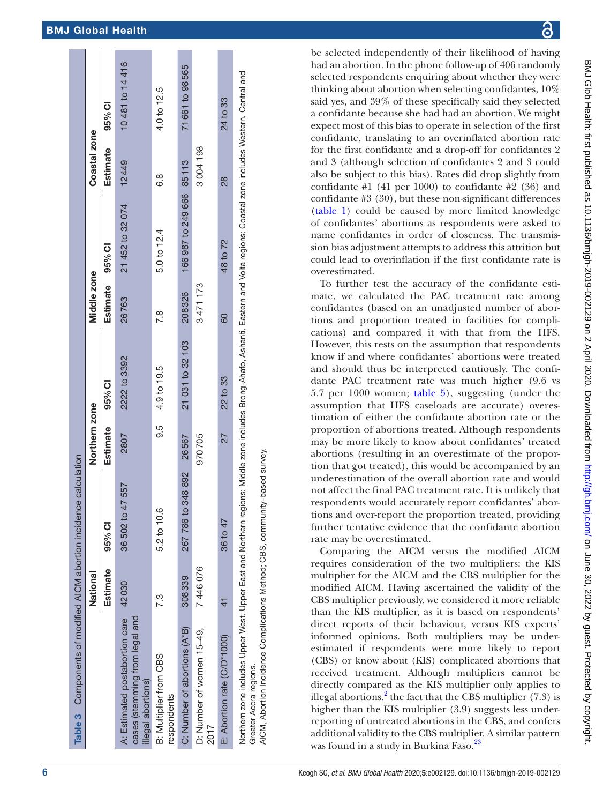|                                                                                                                                                                                                                                                                                               | National        |                    | Northern zone |                  | Middle zone     |                           | Coastal zone |                |
|-----------------------------------------------------------------------------------------------------------------------------------------------------------------------------------------------------------------------------------------------------------------------------------------------|-----------------|--------------------|---------------|------------------|-----------------|---------------------------|--------------|----------------|
|                                                                                                                                                                                                                                                                                               | <b>Estimate</b> | 95% CI             | Estimate      | 95% CI           | <b>Estimate</b> | 95% CI                    | Estimate     | 95% CI         |
| A: Estimated postabortion care 42030<br>cases (stemming from legal and<br>llegal abortions)                                                                                                                                                                                                   |                 | 36 502 to 47 557   | 2807          | 2222 to 3392     | 26763           | 21 452 to 32 074          | 12449        | 10481 to 14416 |
| B: Multiplier from CBS<br>respondents                                                                                                                                                                                                                                                         | ΣZ              | 5.2 to 10.6        | 9.5           | 4.9 to 19.5      | 8 /             | 5.0 to 12.4               | 6.8          | 4.0 to 12.5    |
| C: Number of abortions (A*B)                                                                                                                                                                                                                                                                  | 308339          | 267 786 to 348 892 | 26567         | 21 031 to 32 103 | 208326          | 166 987 to 249 666 85 113 |              | 71661 to 98565 |
| D: Number of women 15-49,<br>2017                                                                                                                                                                                                                                                             | 7 446 076       |                    | 970705        |                  | 3471173         |                           | 3004198      |                |
| E: Abortion rate (C/D*1000)                                                                                                                                                                                                                                                                   |                 | 36 to 47           | 27            | 22 to 33         | 80              | 48 to 72                  | 28           | 24 to 33       |
| Northern zone includes Upper West, Upper East and Northern regions; Middle zone includes Brong-Ahato, Ashanti, Eastern and Volta regions; Coastal zone includes Western, Central and<br>AICM, Abortion Incidence Complications Method; CBS, community-based survey.<br>Greater Accra regions. |                 |                    |               |                  |                 |                           |              |                |

AICM, Abortion Incidence Complications Method; CBS, community-based survey.

be selected independently of their likelihood of having had an abortion. In the phone follow-up of 406 randomly selected respondents enquiring about whether they were thinking about abortion when selecting confidantes, 10% said yes, and 39% of these specifically said they selected a confidante because she had had an abortion. We might expect most of this bias to operate in selection of the first confidante, translating to an overinflated abortion rate for the first confidante and a drop-off for confidantes 2 and 3 (although selection of confidantes 2 and 3 could also be subject to this bias). Rates did drop slightly from confidante #1 (41 per 1000) to confidante #2 (36) and confidante #3 (30), but these non-significant differences [\(table](#page-4-0) 1) could be caused by more limited knowledge of confidantes' abortions as respondents were asked to name confidantes in order of closeness. The transmis sion bias adjustment attempts to address this attrition but could lead to overinflation if the first confidante rate is overestimated.

To further test the accuracy of the confidante esti mate, we calculated the PAC treatment rate among confidantes (based on an unadjusted number of abortions and proportion treated in facilities for complications) and compared it with that from the HFS. However, this rests on the assumption that respondents know if and where confidantes' abortions were treated and should thus be interpreted cautiously. The confi dante PAC treatment rate was much higher (9.6 vs 5.7 per 1000 women; [table](#page-6-1) 5), suggesting (under the assumption that HFS caseloads are accurate) overes timation of either the confidante abortion rate or the proportion of abortions treated. Although respondents may be more likely to know about confidantes' treated abortions (resulting in an overestimate of the proportion that got treated), this would be accompanied by an underestimation of the overall abortion rate and would not affect the final PAC treatment rate. It is unlikely that respondents would accurately report confidantes' abortions and over-report the proportion treated, providing further tentative evidence that the confidante abortion rate may be overestimated.

<span id="page-5-0"></span>Comparing the AICM versus the modified AICM requires consideration of the two multipliers: the KIS multiplier for the AICM and the CBS multiplier for the modified AICM. Having ascertained the validity of the CBS multiplier previously, we considered it more reliable than the KIS multiplier, as it is based on respondents' direct reports of their behaviour, versus KIS experts' informed opinions. Both multipliers may be underestimated if respondents were more likely to report (CBS) or know about (KIS) complicated abortions that received treatment. Although multipliers cannot be directly compared as the KIS multiplier only applies to illegal abortions, $^{2}$  $^{2}$  $^{2}$  the fact that the CBS multiplier (7.3) is higher than the KIS multiplier (3.9) suggests less underreporting of untreated abortions in the CBS, and confers additional validity to the CBS multiplier. A similar pattern was found in a study in Burkina Faso.<sup>23</sup>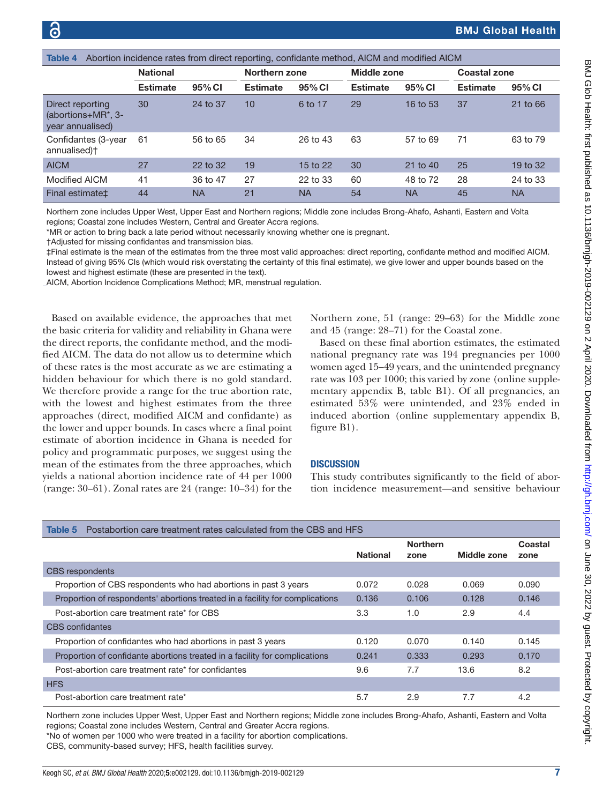## BMJ Global Health

<span id="page-6-0"></span>

| Abortion incidence rates from direct reporting, confidante method, AICM and modified AICM<br>Table 4 |                 |           |                 |           |                    |           |                     |            |
|------------------------------------------------------------------------------------------------------|-----------------|-----------|-----------------|-----------|--------------------|-----------|---------------------|------------|
|                                                                                                      | <b>National</b> |           | Northern zone   |           | <b>Middle zone</b> |           | <b>Coastal zone</b> |            |
|                                                                                                      | <b>Estimate</b> | 95% CI    | <b>Estimate</b> | 95% CI    | <b>Estimate</b>    | 95% CI    | <b>Estimate</b>     | 95% CI     |
| Direct reporting<br>$(aborions+MR^*, 3-)$<br>year annualised)                                        | 30              | 24 to 37  | 10              | 6 to 17   | 29                 | 16 to 53  | 37                  | $21$ to 66 |
| Confidantes (3-year<br>annualised) <sup>+</sup>                                                      | 61              | 56 to 65  | 34              | 26 to 43  | 63                 | 57 to 69  | 71                  | 63 to 79   |
| <b>AICM</b>                                                                                          | 27              | 22 to 32  | 19              | 15 to 22  | 30                 | 21 to 40  | 25                  | 19 to 32   |
| <b>Modified AICM</b>                                                                                 | 41              | 36 to 47  | 27              | 22 to 33  | 60                 | 48 to 72  | 28                  | 24 to 33   |
| Final estimate <sup>±</sup>                                                                          | 44              | <b>NA</b> | 21              | <b>NA</b> | 54                 | <b>NA</b> | 45                  | <b>NA</b>  |

Northern zone includes Upper West, Upper East and Northern regions; Middle zone includes Brong-Ahafo, Ashanti, Eastern and Volta regions; Coastal zone includes Western, Central and Greater Accra regions.

\*MR or action to bring back a late period without necessarily knowing whether one is pregnant.

†Adjusted for missing confidantes and transmission bias.

‡Final estimate is the mean of the estimates from the three most valid approaches: direct reporting, confidante method and modified AICM. Instead of giving 95% CIs (which would risk overstating the certainty of this final estimate), we give lower and upper bounds based on the lowest and highest estimate (these are presented in the text).

AICM, Abortion Incidence Complications Method; MR, menstrual regulation.

Based on available evidence, the approaches that met the basic criteria for validity and reliability in Ghana were the direct reports, the confidante method, and the modified AICM. The data do not allow us to determine which of these rates is the most accurate as we are estimating a hidden behaviour for which there is no gold standard. We therefore provide a range for the true abortion rate, with the lowest and highest estimates from the three approaches (direct, modified AICM and confidante) as the lower and upper bounds. In cases where a final point estimate of abortion incidence in Ghana is needed for policy and programmatic purposes, we suggest using the mean of the estimates from the three approaches, which yields a national abortion incidence rate of 44 per 1000 (range: 30–61). Zonal rates are 24 (range: 10–34) for the

Northern zone, 51 (range: 29–63) for the Middle zone and 45 (range: 28–71) for the Coastal zone.

Based on these final abortion estimates, the estimated national pregnancy rate was 194 pregnancies per 1000 women aged 15–49 years, and the unintended pregnancy rate was 103 per 1000; this varied by zone [\(online supple](https://dx.doi.org/10.1136/bmjgh-2019-002129)[mentary appendix B, table B1](https://dx.doi.org/10.1136/bmjgh-2019-002129)). Of all pregnancies, an estimated 53% were unintended, and 23% ended in induced abortion ([online supplementary appendix B,](https://dx.doi.org/10.1136/bmjgh-2019-002129) [figure B1](https://dx.doi.org/10.1136/bmjgh-2019-002129)).

#### **DISCUSSION**

This study contributes significantly to the field of abortion incidence measurement—and sensitive behaviour

<span id="page-6-1"></span>

| Postabortion care treatment rates calculated from the CBS and HFS<br>Table 5 |                 |                         |             |                 |
|------------------------------------------------------------------------------|-----------------|-------------------------|-------------|-----------------|
|                                                                              | <b>National</b> | <b>Northern</b><br>zone | Middle zone | Coastal<br>zone |
| <b>CBS</b> respondents                                                       |                 |                         |             |                 |
| Proportion of CBS respondents who had abortions in past 3 years              | 0.072           | 0.028                   | 0.069       | 0.090           |
| Proportion of respondents' abortions treated in a facility for complications | 0.136           | 0.106                   | 0.128       | 0.146           |
| Post-abortion care treatment rate* for CBS                                   | 3.3             | 1.0                     | 2.9         | 4.4             |
| CBS confidantes                                                              |                 |                         |             |                 |
| Proportion of confidantes who had abortions in past 3 years                  | 0.120           | 0.070                   | 0.140       | 0.145           |
| Proportion of confidante abortions treated in a facility for complications   | 0.241           | 0.333                   | 0.293       | 0.170           |
| Post-abortion care treatment rate* for confidantes                           | 9.6             | 7.7                     | 13.6        | 8.2             |
| <b>HFS</b>                                                                   |                 |                         |             |                 |
| Post-abortion care treatment rate*                                           | 5.7             | 2.9                     | 7.7         | 4.2             |

Northern zone includes Upper West, Upper East and Northern regions; Middle zone includes Brong-Ahafo, Ashanti, Eastern and Volta regions; Coastal zone includes Western, Central and Greater Accra regions.

\*No of women per 1000 who were treated in a facility for abortion complications.

CBS, community-based survey; HFS, health facilities survey.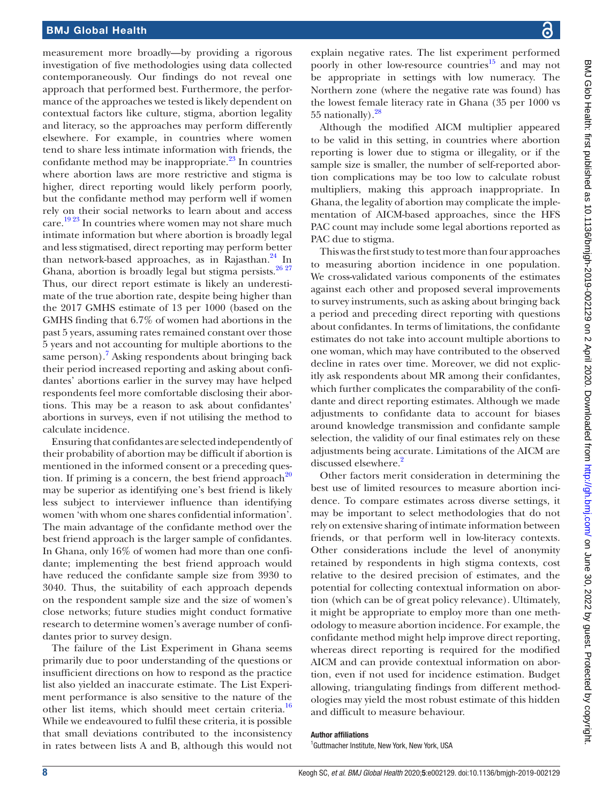measurement more broadly—by providing a rigorous investigation of five methodologies using data collected contemporaneously. Our findings do not reveal one approach that performed best. Furthermore, the performance of the approaches we tested is likely dependent on contextual factors like culture, stigma, abortion legality and literacy, so the approaches may perform differently elsewhere. For example, in countries where women tend to share less intimate information with friends, the confidante method may be inappropriate. $^{23}$  In countries where abortion laws are more restrictive and stigma is higher, direct reporting would likely perform poorly, but the confidante method may perform well if women rely on their social networks to learn about and access care.[19 23](#page-8-11) In countries where women may not share much intimate information but where abortion is broadly legal and less stigmatised, direct reporting may perform better than network-based approaches, as in Rajasthan. $^{24}$  In Ghana, abortion is broadly legal but stigma persists. $26\frac{27}{27}$ Thus, our direct report estimate is likely an underestimate of the true abortion rate, despite being higher than the 2017 GMHS estimate of 13 per 1000 (based on the GMHS finding that 6.7% of women had abortions in the past 5 years, assuming rates remained constant over those 5 years and not accounting for multiple abortions to the same person).<sup>[7](#page-8-18)</sup> Asking respondents about bringing back their period increased reporting and asking about confidantes' abortions earlier in the survey may have helped respondents feel more comfortable disclosing their abortions. This may be a reason to ask about confidantes' abortions in surveys, even if not utilising the method to calculate incidence.

Ensuring that confidantes are selected independently of their probability of abortion may be difficult if abortion is mentioned in the informed consent or a preceding ques-tion. If priming is a concern, the best friend approach<sup>[20](#page-8-12)</sup> may be superior as identifying one's best friend is likely less subject to interviewer influence than identifying women 'with whom one shares confidential information'. The main advantage of the confidante method over the best friend approach is the larger sample of confidantes. In Ghana, only 16% of women had more than one confidante; implementing the best friend approach would have reduced the confidante sample size from 3930 to 3040. Thus, the suitability of each approach depends on the respondent sample size and the size of women's close networks; future studies might conduct formative research to determine women's average number of confidantes prior to survey design.

The failure of the List Experiment in Ghana seems primarily due to poor understanding of the questions or insufficient directions on how to respond as the practice list also yielded an inaccurate estimate. The List Experiment performance is also sensitive to the nature of the other list items, which should meet certain criteria.<sup>[16](#page-8-19)</sup> While we endeavoured to fulfil these criteria, it is possible that small deviations contributed to the inconsistency in rates between lists A and B, although this would not

BMJ Glob Health: first published as 10.1136/bmjgh-2019-002129 on 2 April 2020. Downloaded from http://gh.bmj.com/ on June 30, 2022 by guest. Protected by copyright BMJ Glob Health: first published as 10.1136/bmjgh-2019-002129 on 2 April 2020. Downloaded from <http://gh.bmj.com/> on June 30, 2022 by guest. Protected by copyright.

explain negative rates. The list experiment performed poorly in other low-resource countries<sup>15</sup> and may not be appropriate in settings with low numeracy. The Northern zone (where the negative rate was found) has the lowest female literacy rate in Ghana (35 per 1000 vs 55 nationally). $28$ 

Although the modified AICM multiplier appeared to be valid in this setting, in countries where abortion reporting is lower due to stigma or illegality, or if the sample size is smaller, the number of self-reported abortion complications may be too low to calculate robust multipliers, making this approach inappropriate. In Ghana, the legality of abortion may complicate the implementation of AICM-based approaches, since the HFS PAC count may include some legal abortions reported as PAC due to stigma.

This was the first study to test more than four approaches to measuring abortion incidence in one population. We cross-validated various components of the estimates against each other and proposed several improvements to survey instruments, such as asking about bringing back a period and preceding direct reporting with questions about confidantes. In terms of limitations, the confidante estimates do not take into account multiple abortions to one woman, which may have contributed to the observed decline in rates over time. Moreover, we did not explicitly ask respondents about MR among their confidantes, which further complicates the comparability of the confidante and direct reporting estimates. Although we made adjustments to confidante data to account for biases around knowledge transmission and confidante sample selection, the validity of our final estimates rely on these adjustments being accurate. Limitations of the AICM are discussed elsewhere.<sup>[2](#page-8-1)</sup>

Other factors merit consideration in determining the best use of limited resources to measure abortion incidence. To compare estimates across diverse settings, it may be important to select methodologies that do not rely on extensive sharing of intimate information between friends, or that perform well in low-literacy contexts. Other considerations include the level of anonymity retained by respondents in high stigma contexts, cost relative to the desired precision of estimates, and the potential for collecting contextual information on abortion (which can be of great policy relevance). Ultimately, it might be appropriate to employ more than one methodology to measure abortion incidence. For example, the confidante method might help improve direct reporting, whereas direct reporting is required for the modified AICM and can provide contextual information on abortion, even if not used for incidence estimation. Budget allowing, triangulating findings from different methodologies may yield the most robust estimate of this hidden and difficult to measure behaviour.

#### Author affiliations

<sup>1</sup> Guttmacher Institute, New York, New York, USA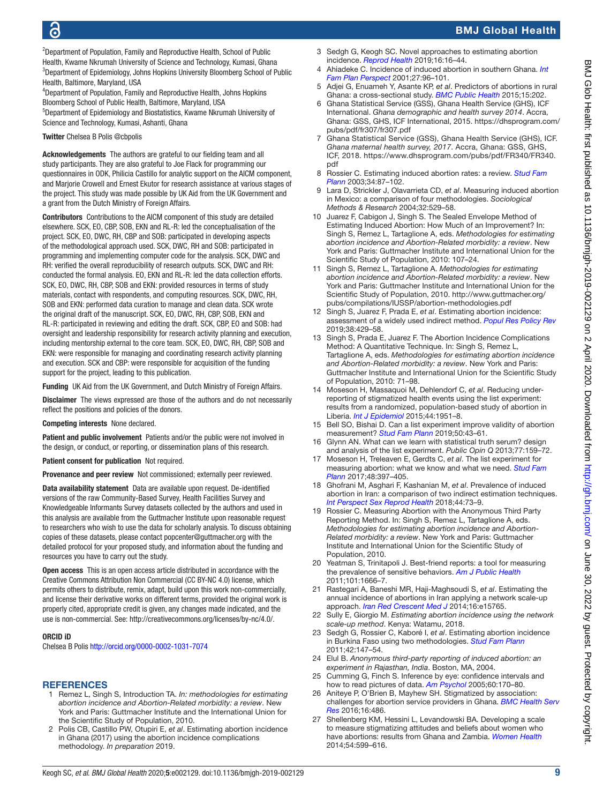## 6

## BMJ Global Health

<sup>2</sup>Department of Population, Family and Reproductive Health, School of Public Health, Kwame Nkrumah University of Science and Technology, Kumasi, Ghana <sup>3</sup>Department of Epidemiology, Johns Hopkins University Bloomberg School of Public Health, Baltimore, Maryland, USA

4 Department of Population, Family and Reproductive Health, Johns Hopkins Bloomberg School of Public Health, Baltimore, Maryland, USA 5 Department of Epidemiology and Biostatistics, Kwame Nkrumah University of Science and Technology, Kumasi, Ashanti, Ghana

Twitter Chelsea B Polis [@cbpolis](https://twitter.com/cbpolis)

Acknowledgements The authors are grateful to our fielding team and all study participants. They are also grateful to Joe Flack for programming our questionnaires in ODK, Philicia Castillo for analytic support on the AICM component, and Marjorie Crowell and Ernest Ekutor for research assistance at various stages of the project. This study was made possible by UK Aid from the UK Government and a grant from the Dutch Ministry of Foreign Affairs.

Contributors Contributions to the AICM component of this study are detailed elsewhere. SCK, EO, CBP, SOB, EKN and RL-R: led the conceptualisation of the project. SCK, EO, DWC, RH, CBP and SOB: participated in developing aspects of the methodological approach used. SCK, DWC, RH and SOB: participated in programming and implementing computer code for the analysis. SCK, DWC and RH: verified the overall reproducibility of research outputs. SCK, DWC and RH: conducted the formal analysis. EO, EKN and RL-R: led the data collection efforts. SCK, EO, DWC, RH, CBP, SOB and EKN: provided resources in terms of study materials, contact with respondents, and computing resources. SCK, DWC, RH, SOB and EKN: performed data curation to manage and clean data. SCK wrote the original draft of the manuscript. SCK, EO, DWC, RH, CBP, SOB, EKN and RL-R: participated in reviewing and editing the draft. SCK, CBP, EO and SOB: had oversight and leadership responsibility for research activity planning and execution, including mentorship external to the core team. SCK, EO, DWC, RH, CBP, SOB and EKN: were responsible for managing and coordinating research activity planning and execution. SCK and CBP: were responsible for acquisition of the funding support for the project, leading to this publication.

Funding UK Aid from the UK Government, and Dutch Ministry of Foreign Affairs.

Disclaimer The views expressed are those of the authors and do not necessarily reflect the positions and policies of the donors.

Competing interests None declared.

Patient and public involvement Patients and/or the public were not involved in the design, or conduct, or reporting, or dissemination plans of this research.

Patient consent for publication Not required.

Provenance and peer review Not commissioned; externally peer reviewed.

Data availability statement Data are available upon request. De-identified versions of the raw Community-Based Survey, Health Facilities Survey and Knowledgeable Informants Survey datasets collected by the authors and used in this analysis are available from the Guttmacher Institute upon reasonable request to researchers who wish to use the data for scholarly analysis. To discuss obtaining copies of these datasets, please contact popcenter@guttmacher.org with the detailed protocol for your proposed study, and information about the funding and resources you have to carry out the study.

Open access This is an open access article distributed in accordance with the Creative Commons Attribution Non Commercial (CC BY-NC 4.0) license, which permits others to distribute, remix, adapt, build upon this work non-commercially, and license their derivative works on different terms, provided the original work is properly cited, appropriate credit is given, any changes made indicated, and the use is non-commercial. See:<http://creativecommons.org/licenses/by-nc/4.0/>.

#### ORCID iD

Chelsea B Polis<http://orcid.org/0000-0002-1031-7074>

#### **REFERENCES**

- <span id="page-8-0"></span>1 Remez L, Singh S, Introduction TA. *In: methodologies for estimating abortion incidence and Abortion-Related morbidity: a review*. New York and Paris: Guttmacher Institute and the International Union for the Scientific Study of Population, 2010.
- <span id="page-8-1"></span>2 Polis CB, Castillo PW, Otupiri E, *et al*. Estimating abortion incidence in Ghana (2017) using the abortion incidence complications methodology. *In preparation* 2019.
- <span id="page-8-2"></span>3 Sedgh G, Keogh SC. Novel approaches to estimating abortion incidence. *[Reprod Health](http://dx.doi.org/10.1186/s12978-019-0702-0)* 2019;16:16–44.
- <span id="page-8-3"></span>4 Ahiadeke C. Incidence of induced abortion in southern Ghana. *[Int](http://dx.doi.org/10.2307/2673822)  [Fam Plan Perspect](http://dx.doi.org/10.2307/2673822)* 2001;27:96–101.
- 5 Adjei G, Enuameh Y, Asante KP, *et al*. Predictors of abortions in rural Ghana: a cross-sectional study. *[BMC Public Health](http://dx.doi.org/10.1186/s12889-015-1572-1)* 2015;15:202.
- 6 Ghana Statistical Service (GSS), Ghana Health Service (GHS), ICF International. *Ghana demographic and health survey 2014*. Accra, Ghana: GSS, GHS, ICF International, 2015. [https://dhsprogram.com/](https://dhsprogram.com/pubs/pdf/fr307/fr307.pdf) [pubs/pdf/fr307/fr307.pdf](https://dhsprogram.com/pubs/pdf/fr307/fr307.pdf)
- <span id="page-8-18"></span>7 Ghana Statistical Service (GSS), Ghana Health Service (GHS), ICF. *Ghana maternal health survey, 2017*. Accra, Ghana: GSS, GHS, ICF, 2018. [https://www.dhsprogram.com/pubs/pdf/FR340/FR340.](https://www.dhsprogram.com/pubs/pdf/FR340/FR340.pdf) ndf
- <span id="page-8-4"></span>8 Rossier C. Estimating induced abortion rates: a review. *[Stud Fam](http://dx.doi.org/10.1111/j.1728-4465.2003.00087.x)  [Plann](http://dx.doi.org/10.1111/j.1728-4465.2003.00087.x)* 2003;34:87–102.
- <span id="page-8-5"></span>9 Lara D, Strickler J, Olavarrieta CD, *et al*. Measuring induced abortion in Mexico: a comparison of four methodologies. *Sociological Methods & Research* 2004;32:529–58.
- 10 Juarez F, Cabigon J, Singh S. The Sealed Envelope Method of Estimating Induced Abortion: How Much of an Improvement? In: Singh S, Remez L, Tartaglione A, eds. *Methodologies for estimating abortion incidence and Abortion-Related morbidity: a review*. New York and Paris: Guttmacher Institute and International Union for the Scientific Study of Population, 2010: 107–24.
- <span id="page-8-13"></span>11 Singh S, Remez L, Tartaglione A. *Methodologies for estimating abortion incidence and Abortion-Related morbidity: a review*. New York and Paris: Guttmacher Institute and International Union for the Scientific Study of Population, 2010. [http://www.guttmacher.org/](http://www.guttmacher.org/pubs/compilations/IUSSP/abortion-methodologies.pdf) [pubs/compilations/IUSSP/abortion-methodologies.pdf](http://www.guttmacher.org/pubs/compilations/IUSSP/abortion-methodologies.pdf)
- <span id="page-8-6"></span>12 Singh S, Juarez F, Prada E, *et al*. Estimating abortion incidence: assessment of a widely used indirect method. *[Popul Res Policy Rev](http://dx.doi.org/10.1007/s11113-019-09517-2)* 2019;38:429–58.
- <span id="page-8-7"></span>13 Singh S, Prada E, Juarez F. The Abortion Incidence Complications Method: A Quantitative Technique. In: Singh S, Remez L, Tartaglione A, eds. *Methodologies for estimating abortion incidence and Abortion-Related morbidity: a review*. New York and Paris: Guttmacher Institute and International Union for the Scientific Study of Population, 2010: 71–98.
- <span id="page-8-8"></span>14 Moseson H, Massaquoi M, Dehlendorf C, *et al*. Reducing underreporting of stigmatized health events using the list experiment: results from a randomized, population-based study of abortion in Liberia. *[Int J Epidemiol](http://dx.doi.org/10.1093/ije/dyv174)* 2015;44:1951–8.
- <span id="page-8-9"></span>15 Bell SO, Bishai D. Can a list experiment improve validity of abortion measurement? *[Stud Fam Plann](http://dx.doi.org/10.1111/sifp.12082)* 2019;50:43–61.
- <span id="page-8-19"></span>16 Glynn AN. What can we learn with statistical truth serum? design and analysis of the list experiment. *Public Opin Q* 2013;77:159–72.
- <span id="page-8-10"></span>17 Moseson H, Treleaven E, Gerdts C, *et al*. The list experiment for measuring abortion: what we know and what we need. *[Stud Fam](http://dx.doi.org/10.1111/sifp.12042)  [Plann](http://dx.doi.org/10.1111/sifp.12042)* 2017;48:397–405.
- 18 Ghofrani M, Asghari F, Kashanian M, *et al*. Prevalence of induced abortion in Iran: a comparison of two indirect estimation techniques. *[Int Perspect Sex Reprod Health](http://dx.doi.org/10.1363/44e6218)* 2018;44:73–9.
- <span id="page-8-11"></span>19 Rossier C. Measuring Abortion with the Anonymous Third Party Reporting Method. In: Singh S, Remez L, Tartaglione A, eds. *Methodologies for estimating abortion incidence and Abortion-Related morbidity: a review*. New York and Paris: Guttmacher Institute and International Union for the Scientific Study of Population, 2010.
- <span id="page-8-12"></span>Yeatman S, Trinitapoli J. Best-friend reports: a tool for measuring the prevalence of sensitive behaviors. *[Am J Public Health](http://dx.doi.org/10.2105/AJPH.2011.300194)* 2011;101:1666–7.
- 21 Rastegari A, Baneshi MR, Haji-Maghsoudi S, *et al*. Estimating the annual incidence of abortions in Iran applying a network scale-up approach. *[Iran Red Crescent Med J](http://dx.doi.org/10.5812/ircmj.15765)* 2014;16:e15765.
- 22 Sully E, Giorgio M. *Estimating abortion incidence using the network scale-up method*. Kenya: Watamu, 2018.
- <span id="page-8-15"></span>23 Sedgh G, Rossier C, Kaboré I, *et al*. Estimating abortion incidence in Burkina Faso using two methodologies. *[Stud Fam Plann](http://dx.doi.org/10.1111/j.1728-4465.2011.00275.x)* 2011;42:147–54.
- <span id="page-8-16"></span>24 Elul B. *Anonymous third-party reporting of induced abortion: an experiment in Rajasthan, India*. Boston, MA, 2004.
- <span id="page-8-14"></span>25 Cumming G, Finch S. Inference by eye: confidence intervals and how to read pictures of data. *[Am Psychol](http://dx.doi.org/10.1037/0003-066X.60.2.170)* 2005;60:170–80.
- <span id="page-8-17"></span>26 Aniteye P, O'Brien B, Mayhew SH. Stigmatized by association: challenges for abortion service providers in Ghana. *[BMC Health Serv](http://dx.doi.org/10.1186/s12913-016-1733-7)  [Res](http://dx.doi.org/10.1186/s12913-016-1733-7)* 2016;16:486.
- 27 Shellenberg KM, Hessini L, Levandowski BA. Developing a scale to measure stigmatizing attitudes and beliefs about women who have abortions: results from Ghana and Zambia. *[Women Health](http://dx.doi.org/10.1080/03630242.2014.919982)* 2014;54:599–616.